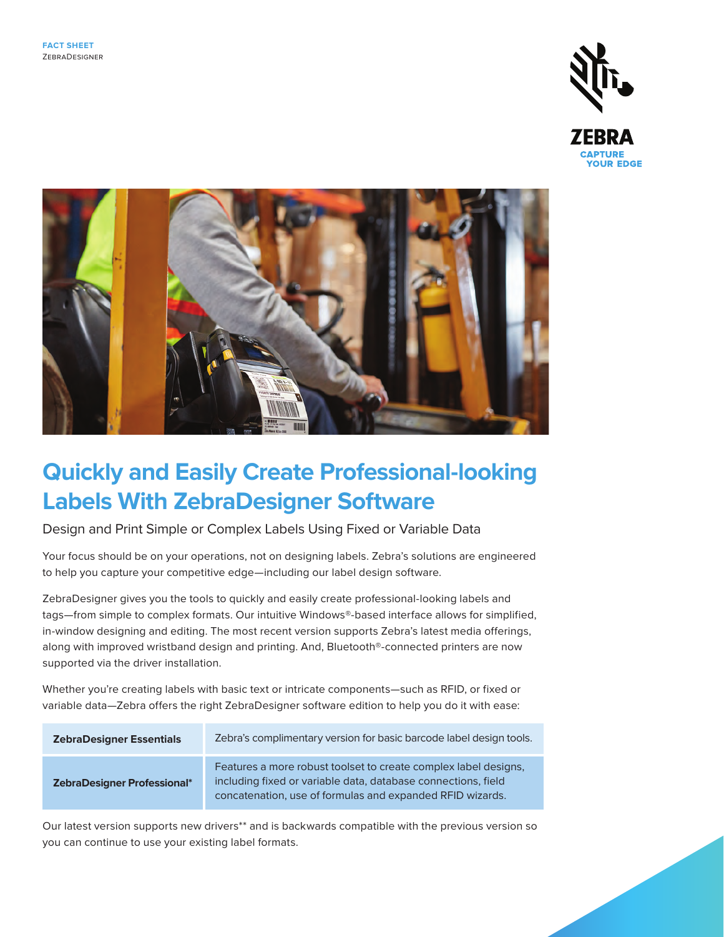



## **Quickly and Easily Create Professional-looking Labels With ZebraDesigner Software**

Design and Print Simple or Complex Labels Using Fixed or Variable Data

Your focus should be on your operations, not on designing labels. Zebra's solutions are engineered to help you capture your competitive edge—including our label design software.

ZebraDesigner gives you the tools to quickly and easily create professional-looking labels and tags—from simple to complex formats. Our intuitive Windows®-based interface allows for simplified, in-window designing and editing. The most recent version supports Zebra's latest media offerings, along with improved wristband design and printing. And, Bluetooth®-connected printers are now supported via the driver installation.

Whether you're creating labels with basic text or intricate components—such as RFID, or fixed or variable data—Zebra offers the right ZebraDesigner software edition to help you do it with ease:

| <b>ZebraDesigner Essentials</b> | Zebra's complimentary version for basic barcode label design tools.                                                                                                                           |
|---------------------------------|-----------------------------------------------------------------------------------------------------------------------------------------------------------------------------------------------|
| ZebraDesigner Professional*     | Features a more robust toolset to create complex label designs,<br>including fixed or variable data, database connections, field<br>concatenation, use of formulas and expanded RFID wizards. |

Our latest version supports new drivers\*\* and is backwards compatible with the previous version so you can continue to use your existing label formats.